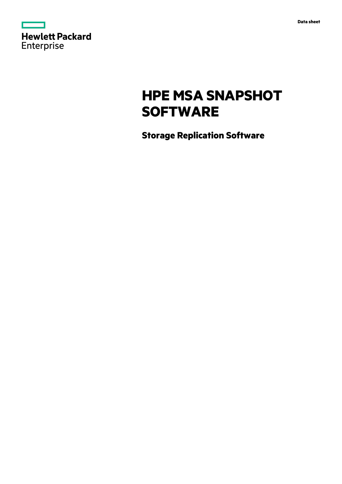

# **HPE MSA SNAPSHOT SOFTWARE**

**Storage Replication Software**